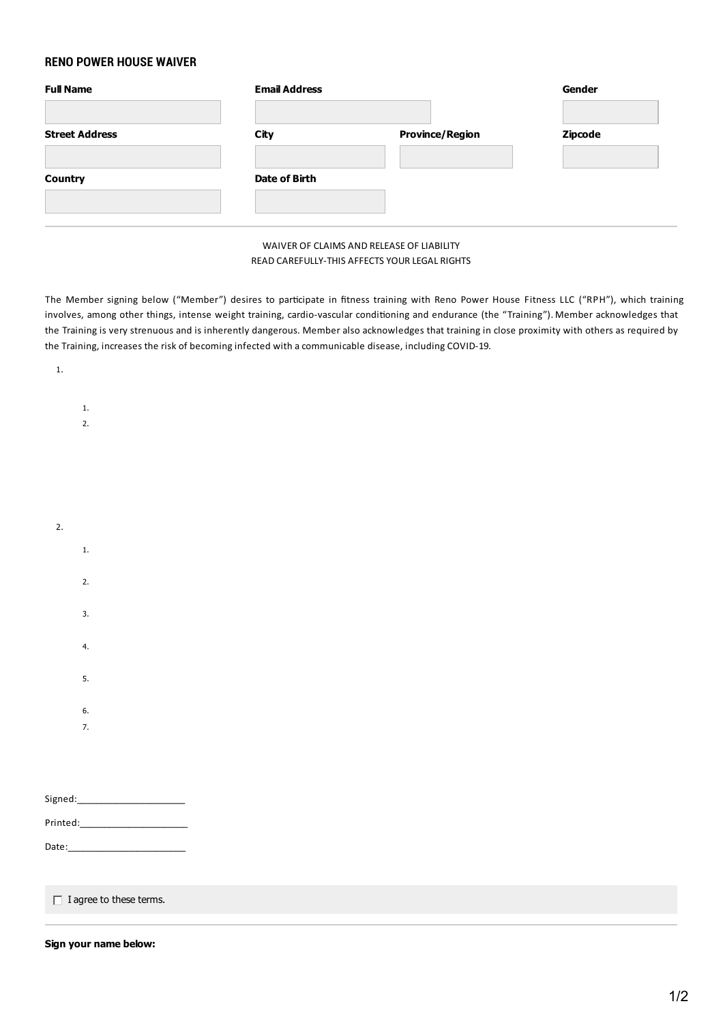## **RENO POWER HOUSE WAIVER**

| <b>Full Name</b>      | <b>Email Address</b> |                        | Gender  |
|-----------------------|----------------------|------------------------|---------|
| <b>Street Address</b> | City                 | <b>Province/Region</b> | Zipcode |
| <b>Country</b>        | Date of Birth        |                        |         |

## WAIVER OF CLAIMS AND RELEASE OF LIABILITY READ CAREFULLY-THIS AFFECTSYOUR LEGAL RIGHTS

The Member signing below ("Member") desires to participate in fitness training with Reno Power House Fitness LLC ("RPH"), which training involves, among other things, intense weight training, cardio-vascular conditioning and endurance (the "Training"). Member acknowledges that the Training is very strenuous and is inherently dangerous. Memberalso acknowledges that training in close proximity with others as required by the Training, increases the risk of becoming infected with a communicable disease, including COVID-19.

| $1.$                            |  |  |  |
|---------------------------------|--|--|--|
|                                 |  |  |  |
| $1. \,$                         |  |  |  |
| 2.                              |  |  |  |
|                                 |  |  |  |
|                                 |  |  |  |
|                                 |  |  |  |
|                                 |  |  |  |
| 2.                              |  |  |  |
| $1. \,$                         |  |  |  |
|                                 |  |  |  |
| 2.                              |  |  |  |
| 3.                              |  |  |  |
|                                 |  |  |  |
| 4.                              |  |  |  |
| 5.                              |  |  |  |
|                                 |  |  |  |
| 6.                              |  |  |  |
| $\overline{7}$ .                |  |  |  |
|                                 |  |  |  |
|                                 |  |  |  |
|                                 |  |  |  |
|                                 |  |  |  |
| Printed:_______________________ |  |  |  |
| Date:___                        |  |  |  |
|                                 |  |  |  |

 $\Box$  I agree to these terms.